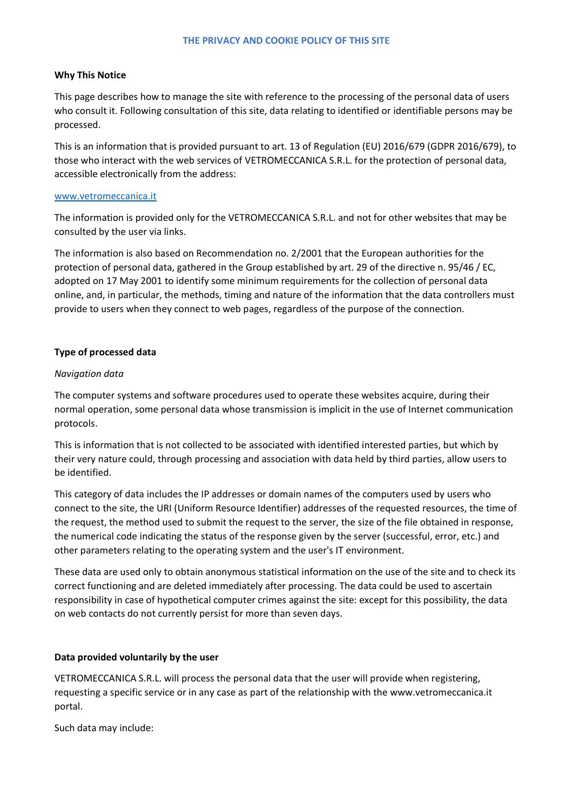## **Why This Notice**

This page describes how to manage the site with reference to the processing of the personal data of users who consult it. Following consultation of this site, data relating to identified or identifiable persons may be processed.

This is an information that is provided pursuant to art. 13 of Regulation (EU) 2016/679 (GDPR 2016/679), to those who interact with the web services of VETROMECCANICA S.R.L. for the protection of personal data, accessible electronically from the address:

## [www.vetromeccanica.it](http://www.vetromeccanica.it/)

The information is provided only for the VETROMECCANICA S.R.L. and not for other websites that may be consulted by the user via links.

The information is also based on Recommendation no. 2/2001 that the European authorities for the protection of personal data, gathered in the Group established by art. 29 of the directive n. 95/46 / EC, adopted on 17 May 2001 to identify some minimum requirements for the collection of personal data online, and, in particular, the methods, timing and nature of the information that the data controllers must provide to users when they connect to web pages, regardless of the purpose of the connection.

# **Type of processed data**

# *Navigation data*

The computer systems and software procedures used to operate these websites acquire, during their normal operation, some personal data whose transmission is implicit in the use of Internet communication protocols.

This is information that is not collected to be associated with identified interested parties, but which by their very nature could, through processing and association with data held by third parties, allow users to be identified.

This category of data includes the IP addresses or domain names of the computers used by users who connect to the site, the URI (Uniform Resource Identifier) addresses of the requested resources, the time of the request, the method used to submit the request to the server, the size of the file obtained in response, the numerical code indicating the status of the response given by the server (successful, error, etc.) and other parameters relating to the operating system and the user's IT environment.

These data are used only to obtain anonymous statistical information on the use of the site and to check its correct functioning and are deleted immediately after processing. The data could be used to ascertain responsibility in case of hypothetical computer crimes against the site: except for this possibility, the data on web contacts do not currently persist for more than seven days.

# **Data provided voluntarily by the user**

VETROMECCANICA S.R.L. will process the personal data that the user will provide when registering, requesting a specific service or in any case as part of the relationship with the www.vetromeccanica.it portal.

Such data may include: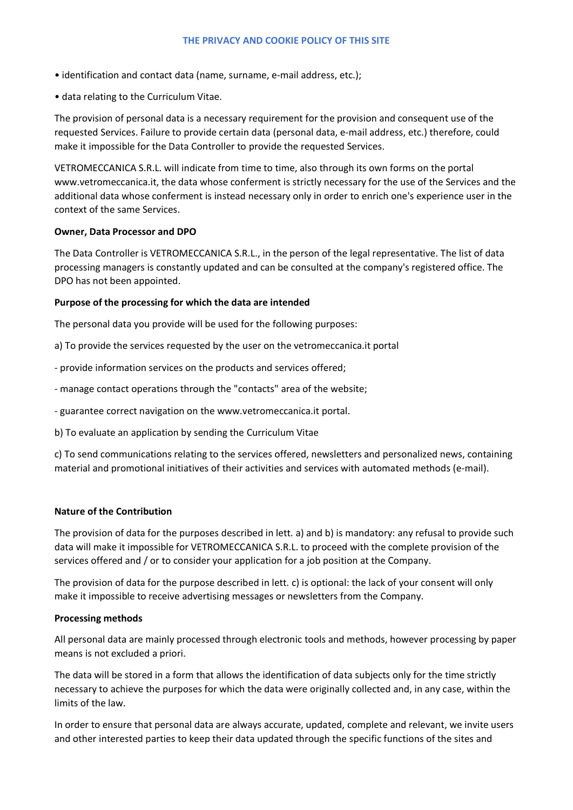- identification and contact data (name, surname, e-mail address, etc.);
- data relating to the Curriculum Vitae.

The provision of personal data is a necessary requirement for the provision and consequent use of the requested Services. Failure to provide certain data (personal data, e-mail address, etc.) therefore, could make it impossible for the Data Controller to provide the requested Services.

VETROMECCANICA S.R.L. will indicate from time to time, also through its own forms on the portal www.vetromeccanica.it, the data whose conferment is strictly necessary for the use of the Services and the additional data whose conferment is instead necessary only in order to enrich one's experience user in the context of the same Services.

#### **Owner, Data Processor and DPO**

The Data Controller is VETROMECCANICA S.R.L., in the person of the legal representative. The list of data processing managers is constantly updated and can be consulted at the company's registered office. The DPO has not been appointed.

#### **Purpose of the processing for which the data are intended**

The personal data you provide will be used for the following purposes:

- a) To provide the services requested by the user on the vetromeccanica.it portal
- provide information services on the products and services offered;
- manage contact operations through the "contacts" area of the website;
- guarantee correct navigation on the www.vetromeccanica.it portal.
- b) To evaluate an application by sending the Curriculum Vitae

c) To send communications relating to the services offered, newsletters and personalized news, containing material and promotional initiatives of their activities and services with automated methods (e-mail).

#### **Nature of the Contribution**

The provision of data for the purposes described in lett. a) and b) is mandatory: any refusal to provide such data will make it impossible for VETROMECCANICA S.R.L. to proceed with the complete provision of the services offered and / or to consider your application for a job position at the Company.

The provision of data for the purpose described in lett. c) is optional: the lack of your consent will only make it impossible to receive advertising messages or newsletters from the Company.

#### **Processing methods**

All personal data are mainly processed through electronic tools and methods, however processing by paper means is not excluded a priori.

The data will be stored in a form that allows the identification of data subjects only for the time strictly necessary to achieve the purposes for which the data were originally collected and, in any case, within the limits of the law.

In order to ensure that personal data are always accurate, updated, complete and relevant, we invite users and other interested parties to keep their data updated through the specific functions of the sites and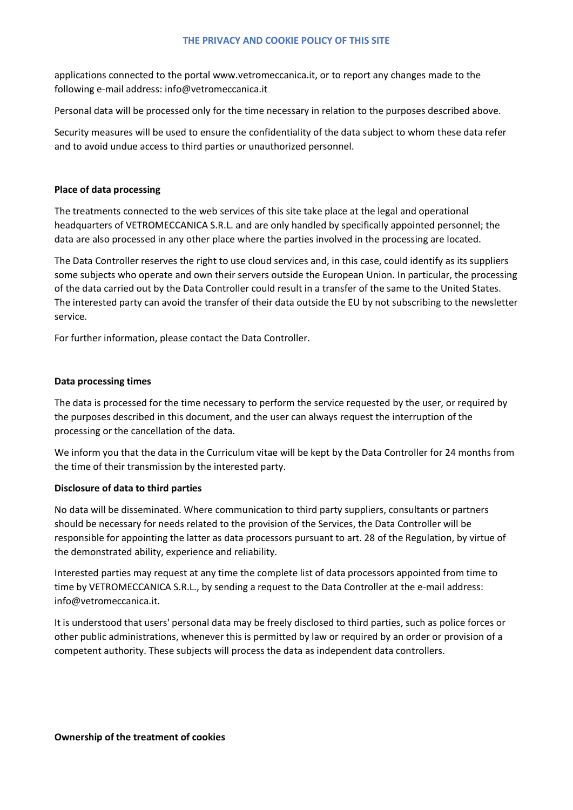applications connected to the portal www.vetromeccanica.it, or to report any changes made to the following e-mail address: info@vetromeccanica.it

Personal data will be processed only for the time necessary in relation to the purposes described above.

Security measures will be used to ensure the confidentiality of the data subject to whom these data refer and to avoid undue access to third parties or unauthorized personnel.

## **Place of data processing**

The treatments connected to the web services of this site take place at the legal and operational headquarters of VETROMECCANICA S.R.L. and are only handled by specifically appointed personnel; the data are also processed in any other place where the parties involved in the processing are located.

The Data Controller reserves the right to use cloud services and, in this case, could identify as its suppliers some subjects who operate and own their servers outside the European Union. In particular, the processing of the data carried out by the Data Controller could result in a transfer of the same to the United States. The interested party can avoid the transfer of their data outside the EU by not subscribing to the newsletter service.

For further information, please contact the Data Controller.

## **Data processing times**

The data is processed for the time necessary to perform the service requested by the user, or required by the purposes described in this document, and the user can always request the interruption of the processing or the cancellation of the data.

We inform you that the data in the Curriculum vitae will be kept by the Data Controller for 24 months from the time of their transmission by the interested party.

#### **Disclosure of data to third parties**

No data will be disseminated. Where communication to third party suppliers, consultants or partners should be necessary for needs related to the provision of the Services, the Data Controller will be responsible for appointing the latter as data processors pursuant to art. 28 of the Regulation, by virtue of the demonstrated ability, experience and reliability.

Interested parties may request at any time the complete list of data processors appointed from time to time by VETROMECCANICA S.R.L., by sending a request to the Data Controller at the e-mail address: info@vetromeccanica.it.

It is understood that users' personal data may be freely disclosed to third parties, such as police forces or other public administrations, whenever this is permitted by law or required by an order or provision of a competent authority. These subjects will process the data as independent data controllers.